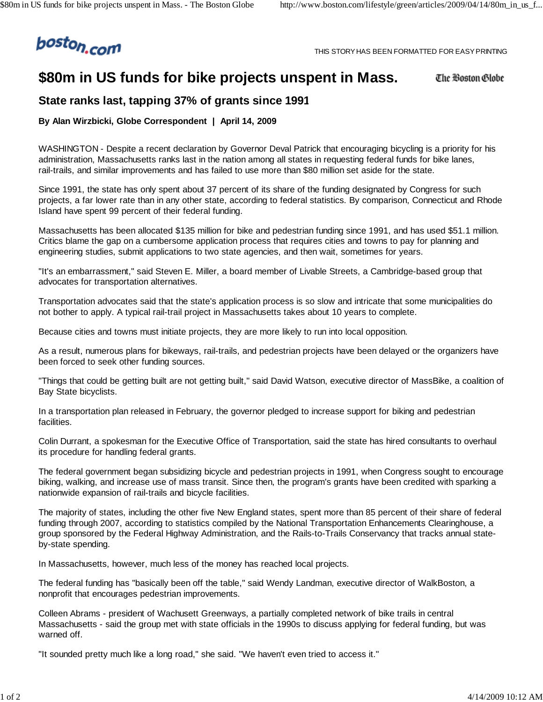

THIS STORY HAS BEEN FORMATTED FOR EASY PRINTING

## **\$80m in US funds for bike projects unspent in Mass.**

The Boston Globe

## **State ranks last, tapping 37% of grants since 1991**

## **By Alan Wirzbicki, Globe Correspondent | April 14, 2009**

WASHINGTON - Despite a recent declaration by Governor Deval Patrick that encouraging bicycling is a priority for his administration, Massachusetts ranks last in the nation among all states in requesting federal funds for bike lanes, rail-trails, and similar improvements and has failed to use more than \$80 million set aside for the state.

Since 1991, the state has only spent about 37 percent of its share of the funding designated by Congress for such projects, a far lower rate than in any other state, according to federal statistics. By comparison, Connecticut and Rhode Island have spent 99 percent of their federal funding.

Massachusetts has been allocated \$135 million for bike and pedestrian funding since 1991, and has used \$51.1 million. Critics blame the gap on a cumbersome application process that requires cities and towns to pay for planning and engineering studies, submit applications to two state agencies, and then wait, sometimes for years.

"It's an embarrassment," said Steven E. Miller, a board member of Livable Streets, a Cambridge-based group that advocates for transportation alternatives.

Transportation advocates said that the state's application process is so slow and intricate that some municipalities do not bother to apply. A typical rail-trail project in Massachusetts takes about 10 years to complete.

Because cities and towns must initiate projects, they are more likely to run into local opposition.

As a result, numerous plans for bikeways, rail-trails, and pedestrian projects have been delayed or the organizers have been forced to seek other funding sources.

"Things that could be getting built are not getting built," said David Watson, executive director of MassBike, a coalition of Bay State bicyclists.

In a transportation plan released in February, the governor pledged to increase support for biking and pedestrian **facilities** 

Colin Durrant, a spokesman for the Executive Office of Transportation, said the state has hired consultants to overhaul its procedure for handling federal grants.

The federal government began subsidizing bicycle and pedestrian projects in 1991, when Congress sought to encourage biking, walking, and increase use of mass transit. Since then, the program's grants have been credited with sparking a nationwide expansion of rail-trails and bicycle facilities.

The majority of states, including the other five New England states, spent more than 85 percent of their share of federal funding through 2007, according to statistics compiled by the National Transportation Enhancements Clearinghouse, a group sponsored by the Federal Highway Administration, and the Rails-to-Trails Conservancy that tracks annual stateby-state spending.

In Massachusetts, however, much less of the money has reached local projects.

The federal funding has "basically been off the table," said Wendy Landman, executive director of WalkBoston, a nonprofit that encourages pedestrian improvements.

Colleen Abrams - president of Wachusett Greenways, a partially completed network of bike trails in central Massachusetts - said the group met with state officials in the 1990s to discuss applying for federal funding, but was warned off.

"It sounded pretty much like a long road," she said. "We haven't even tried to access it."